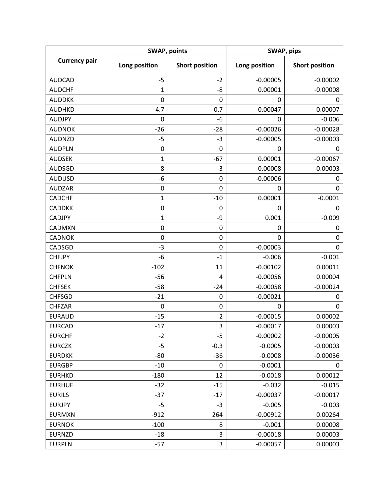| <b>Currency pair</b> | <b>SWAP, points</b> |                       | SWAP, pips    |                       |
|----------------------|---------------------|-----------------------|---------------|-----------------------|
|                      | Long position       | <b>Short position</b> | Long position | <b>Short position</b> |
| <b>AUDCAD</b>        | $-5$                | $-2$                  | $-0.00005$    | $-0.00002$            |
| <b>AUDCHF</b>        | 1                   | -8                    | 0.00001       | $-0.00008$            |
| <b>AUDDKK</b>        | $\mathbf 0$         | 0                     | 0             | 0                     |
| <b>AUDHKD</b>        | $-4.7$              | 0.7                   | $-0.00047$    | 0.00007               |
| <b>AUDJPY</b>        | 0                   | $-6$                  | 0             | $-0.006$              |
| <b>AUDNOK</b>        | $-26$               | $-28$                 | $-0.00026$    | $-0.00028$            |
| <b>AUDNZD</b>        | $-5$                | $-3$                  | $-0.00005$    | $-0.00003$            |
| <b>AUDPLN</b>        | $\pmb{0}$           | 0                     | 0             | 0                     |
| <b>AUDSEK</b>        | 1                   | $-67$                 | 0.00001       | $-0.00067$            |
| <b>AUDSGD</b>        | -8                  | $-3$                  | $-0.00008$    | $-0.00003$            |
| <b>AUDUSD</b>        | -6                  | 0                     | $-0.00006$    | 0                     |
| <b>AUDZAR</b>        | 0                   | 0                     | 0             | 0                     |
| <b>CADCHF</b>        | $\mathbf 1$         | $-10$                 | 0.00001       | $-0.0001$             |
| <b>CADDKK</b>        | 0                   | 0                     | 0             | 0                     |
| <b>CADJPY</b>        | 1                   | -9                    | 0.001         | $-0.009$              |
| CADMXN               | $\pmb{0}$           | 0                     | 0             | 0                     |
| <b>CADNOK</b>        | $\mathbf 0$         | 0                     | 0             | $\mathbf 0$           |
| CADSGD               | $-3$                | 0                     | $-0.00003$    | 0                     |
| <b>CHFJPY</b>        | $-6$                | $-1$                  | $-0.006$      | $-0.001$              |
| <b>CHFNOK</b>        | $-102$              | 11                    | $-0.00102$    | 0.00011               |
| <b>CHFPLN</b>        | $-56$               | 4                     | $-0.00056$    | 0.00004               |
| <b>CHFSEK</b>        | $-58$               | $-24$                 | $-0.00058$    | $-0.00024$            |
| <b>CHFSGD</b>        | $-21$               | 0                     | $-0.00021$    | 0                     |
| <b>CHFZAR</b>        | $\pmb{0}$           | 0                     | 0             | 0                     |
| <b>EURAUD</b>        | $-15$               | $\overline{c}$        | $-0.00015$    | 0.00002               |
| <b>EURCAD</b>        | $-17$               | 3                     | $-0.00017$    | 0.00003               |
| <b>EURCHF</b>        | $-2$                | $-5$                  | $-0.00002$    | $-0.00005$            |
| <b>EURCZK</b>        | $-5$                | $-0.3$                | $-0.0005$     | $-0.00003$            |
| <b>EURDKK</b>        | -80                 | $-36$                 | $-0.0008$     | $-0.00036$            |
| <b>EURGBP</b>        | $-10$               | 0                     | $-0.0001$     | 0                     |
| <b>EURHKD</b>        | $-180$              | 12                    | $-0.0018$     | 0.00012               |
| <b>EURHUF</b>        | $-32$               | $-15$                 | $-0.032$      | $-0.015$              |
| <b>EURILS</b>        | $-37$               | $-17$                 | $-0.00037$    | $-0.00017$            |
| <b>EURJPY</b>        | $-5$                | -3                    | $-0.005$      | $-0.003$              |
| <b>EURMXN</b>        | $-912$              | 264                   | $-0.00912$    | 0.00264               |
| <b>EURNOK</b>        | $-100$              | 8                     | $-0.001$      | 0.00008               |
| <b>EURNZD</b>        | $-18$               | 3                     | $-0.00018$    | 0.00003               |
| <b>EURPLN</b>        | $-57$               | 3                     | $-0.00057$    | 0.00003               |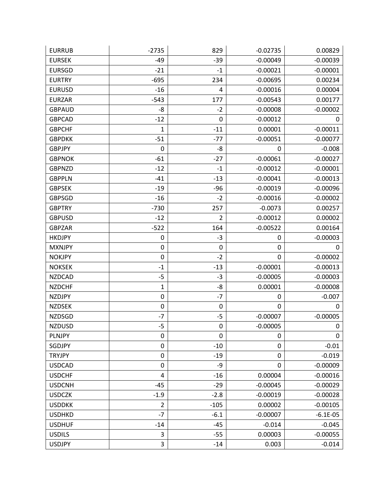| <b>EURRUB</b> | $-2735$        | 829    | $-0.02735$       | 0.00829    |
|---------------|----------------|--------|------------------|------------|
| <b>EURSEK</b> | -49            | $-39$  | $-0.00049$       | $-0.00039$ |
| <b>EURSGD</b> | $-21$          | $-1$   | $-0.00021$       | $-0.00001$ |
| <b>EURTRY</b> | $-695$         | 234    | $-0.00695$       | 0.00234    |
| <b>EURUSD</b> | $-16$          | 4      | $-0.00016$       | 0.00004    |
| <b>EURZAR</b> | $-543$         | 177    | $-0.00543$       | 0.00177    |
| <b>GBPAUD</b> | -8             | $-2$   | $-0.00008$       | $-0.00002$ |
| <b>GBPCAD</b> | $-12$          | 0      | $-0.00012$       | 0          |
| <b>GBPCHF</b> | 1              | $-11$  | 0.00001          | $-0.00011$ |
| <b>GBPDKK</b> | $-51$          | $-77$  | $-0.00051$       | $-0.00077$ |
| <b>GBPJPY</b> | 0              | -8     | 0                | $-0.008$   |
| <b>GBPNOK</b> | $-61$          | $-27$  | $-0.00061$       | $-0.00027$ |
| <b>GBPNZD</b> | $-12$          | $-1$   | $-0.00012$       | $-0.00001$ |
| <b>GBPPLN</b> | $-41$          | $-13$  | $-0.00041$       | $-0.00013$ |
| <b>GBPSEK</b> | $-19$          | $-96$  | $-0.00019$       | $-0.00096$ |
| <b>GBPSGD</b> | $-16$          | $-2$   | $-0.00016$       | $-0.00002$ |
| <b>GBPTRY</b> | $-730$         | 257    | $-0.0073$        | 0.00257    |
| <b>GBPUSD</b> | $-12$          | 2      | $-0.00012$       | 0.00002    |
| <b>GBPZAR</b> | $-522$         | 164    | $-0.00522$       | 0.00164    |
| <b>HKDJPY</b> | 0              | $-3$   | 0                | $-0.00003$ |
| <b>MXNJPY</b> | $\mathbf 0$    | 0      | $\boldsymbol{0}$ | 0          |
| <b>NOKJPY</b> | $\mathbf 0$    | $-2$   | 0                | $-0.00002$ |
| <b>NOKSEK</b> | $-1$           | $-13$  | $-0.00001$       | $-0.00013$ |
| <b>NZDCAD</b> | $-5$           | $-3$   | $-0.00005$       | $-0.00003$ |
| <b>NZDCHF</b> | 1              | -8     | 0.00001          | $-0.00008$ |
| <b>NZDJPY</b> | $\pmb{0}$      | $-7$   | 0                | $-0.007$   |
| <b>NZDSEK</b> | $\pmb{0}$      | 0      | 0                | 0          |
| <b>NZDSGD</b> | $-7$           | $-5$   | $-0.00007$       | $-0.00005$ |
| <b>NZDUSD</b> | $-5$           | 0      | $-0.00005$       | 0          |
| PLNJPY        | 0              | 0      | 0                | 0          |
| SGDJPY        | $\mathbf 0$    | $-10$  | 0                | $-0.01$    |
| <b>TRYJPY</b> | $\mathbf 0$    | $-19$  | 0                | $-0.019$   |
| <b>USDCAD</b> | $\pmb{0}$      | -9     | 0                | $-0.00009$ |
| <b>USDCHF</b> | 4              | $-16$  | 0.00004          | $-0.00016$ |
| <b>USDCNH</b> | $-45$          | $-29$  | $-0.00045$       | $-0.00029$ |
| <b>USDCZK</b> | $-1.9$         | $-2.8$ | $-0.00019$       | $-0.00028$ |
| <b>USDDKK</b> | $\overline{2}$ | $-105$ | 0.00002          | $-0.00105$ |
| <b>USDHKD</b> | $-7$           | $-6.1$ | $-0.00007$       | $-6.1E-05$ |
| <b>USDHUF</b> | $-14$          | $-45$  | $-0.014$         | $-0.045$   |
| <b>USDILS</b> | 3              | $-55$  | 0.00003          | $-0.00055$ |
| <b>USDJPY</b> | 3              | $-14$  | 0.003            | $-0.014$   |